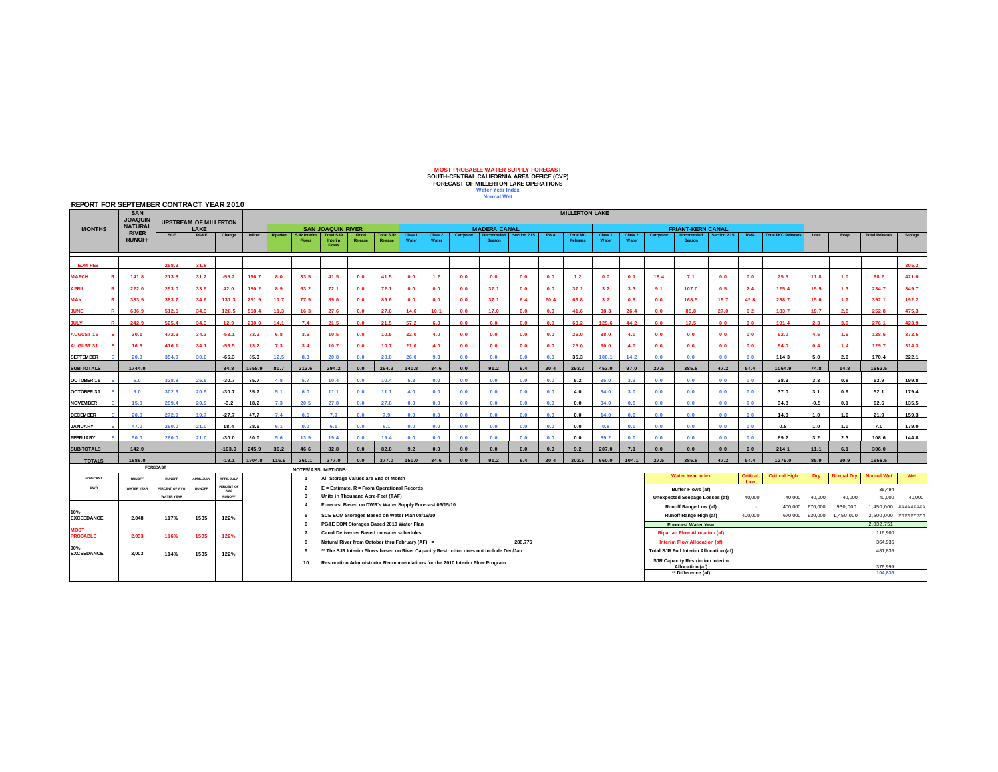## **MOST PROBABLE WATER SUPPLY FORECAST SOUTH-CENTRAL CALIFORNIA AREA OFFICE (CVP) FORECAST OF MILLERTON LAKE OPERATIONS Water Year Index Normal Wet**

## **REPORT FOR SEPTEMBER CONTRACT YEAR 2010**

|                               | <b>SAN</b><br><b>JOAQUIN</b><br><b>NATURAL</b><br><b>RIVER</b><br><b>RUNOFF</b> |                                      |                   |                   | <b>MILLERTON LAKE</b> |                                                                             |                                                                                                                                                |                                     |                                                                                             |                             |                   |                  |                                         |                               |                                                                               |            |                                    |                  |                          |                    |                                       |             |            |                           |         |           |                       |           |
|-------------------------------|---------------------------------------------------------------------------------|--------------------------------------|-------------------|-------------------|-----------------------|-----------------------------------------------------------------------------|------------------------------------------------------------------------------------------------------------------------------------------------|-------------------------------------|---------------------------------------------------------------------------------------------|-----------------------------|-------------------|------------------|-----------------------------------------|-------------------------------|-------------------------------------------------------------------------------|------------|------------------------------------|------------------|--------------------------|--------------------|---------------------------------------|-------------|------------|---------------------------|---------|-----------|-----------------------|-----------|
| <b>MONTHS</b>                 |                                                                                 | <b>UPSTREAM OF MILLERTON</b><br>LAKE |                   |                   |                       |                                                                             | <b>SAN JOAQUIN RIVER</b>                                                                                                                       |                                     |                                                                                             | <b>MADERA CANAL</b>         |                   |                  |                                         |                               |                                                                               |            |                                    |                  | <b>FRIANT-KERN CANAL</b> |                    |                                       |             |            |                           |         |           |                       |           |
|                               |                                                                                 | <b>SCE</b>                           | PG&E              | Change            | Inflow                | Riparian                                                                    | <b>SJR Interim</b><br><b>Flows</b>                                                                                                             | <b>Total SJR</b><br>Interim         | Flood<br>Release                                                                            | <b>Total SJR</b><br>Release | Class 1<br>Water  | Class 2<br>Water | Carryover                               | <b>Uncontrolled</b><br>Season | Section 215                                                                   | <b>RWA</b> | <b>Total MC</b><br><b>Releases</b> | Class 1<br>Water | Class 2<br>Water         | Carryover          | <b>Uncontrolled</b><br><b>Season</b>  | Section 215 | <b>RWA</b> | <b>Total FKC Releases</b> | Loss    | Evap      | <b>Total Releases</b> | Storage   |
|                               |                                                                                 |                                      |                   |                   |                       |                                                                             |                                                                                                                                                | <b>Flows</b>                        |                                                                                             |                             |                   |                  |                                         |                               |                                                                               |            |                                    |                  |                          |                    |                                       |             |            |                           |         |           |                       |           |
| <b>EOM FEB</b>                |                                                                                 | 268.3                                | 31.8              |                   |                       |                                                                             |                                                                                                                                                |                                     |                                                                                             |                             |                   |                  |                                         |                               |                                                                               |            |                                    |                  |                          |                    |                                       |             |            |                           |         |           |                       | 305.3     |
| <b>ARCH</b><br>$\blacksquare$ | 141.8                                                                           | 213.8                                | 31.2              | $-55.2$           | 196.7                 | 8.0                                                                         | 33.5                                                                                                                                           | 41.5                                | 0.0                                                                                         | 41.5                        | 0.0               | 1.2              | 0.0                                     | 0.0                           | 0.0                                                                           | 0.0        | 1.2                                | 0.0              | 0.1                      | 18.4               | 7.1                                   | 0.0         | 0.0        | 25.5                      | 11.8    | 1.0       | 68.2                  | 421.0     |
| APRIL                         | 222.0                                                                           | 253.0                                | 33.9              | 42.0              | 180.2                 | 8.9                                                                         | 63.2                                                                                                                                           | 72.1                                | 0.0                                                                                         | 72.1                        | 0.0               | 0.0              | 0.0                                     | 37.1                          | 0.0                                                                           | 0.0        | 37.1                               | 3.2              | 3.3                      | 9.1                | 107.0                                 | 0.5         | 2.4        | 125.4                     | 15.5    | 1.3       | 234.7                 | 349.7     |
| MAY                           | 383.5                                                                           | 383.7                                | 34.6              | 131.3             | 251.9                 | 11.7                                                                        | 77.9                                                                                                                                           | 89.6                                | 0.0                                                                                         | 89.6                        | 0.0               | 0.0              | 0.0                                     | 37.1                          | 6.4                                                                           | 20.4       | 63.8                               | 3.7              | 0.9                      | 0.0                | 168.5                                 | 19.7        | 45.8       | 238.7                     | 15.6    | 1.7       | 392.1                 | 192.2     |
| <b>JNF</b>                    | 686.9                                                                           | 512.5                                | 34.3              | 128.5             | 558.4                 | 11.3                                                                        | 16.3                                                                                                                                           | 27.6                                | 0.0                                                                                         | 27.6                        | 14.6              | 10.1             | 0.0                                     | 17.0                          | 0.0                                                                           | 0.0        | 41.6                               | 38.3             | 26.4                     | 0.0                | 85.8                                  | 27.0        | 62         | 183.7                     | 19.7    | 2R        | 252.8                 | 475.3     |
| <b>ULY</b>                    | 242.9                                                                           | 525.4                                | 34.3              | 12.9              | 230.0                 | 14.1                                                                        | 7.4                                                                                                                                            | 21.5                                | 0.0                                                                                         | 21.5                        | 57.2              | 6.0              | 0.0                                     | 0.0                           | 0.0                                                                           | 0.0        | 63.2                               | 129.6            | 44.2                     | 0.0                | 17.5                                  | 0.0         | 0.0        | 191.4                     | 2.3     | 3.0       | 276.1                 | 423.9     |
| <b>AUGUST 15</b>              | 30.1                                                                            | 472.3                                | 34.3              | $-53.1$           | 83.2                  | 6.8                                                                         | 3.6                                                                                                                                            | 10.5                                | 0.0                                                                                         | 10.5                        | 22.0              | 4.0              | 0.0                                     | 0.0                           | 0.0                                                                           | 0.0        | 26.0                               | 88.0             | 4.0                      | 0.0                | 0.0                                   | 0.0         | 0.0        | 92.0                      | 4.5     | 1.6       | 128.5                 | 372.5     |
| <b>NUGUST 31</b>              | 16.8                                                                            | 416.1                                | 34.1              | $-56.5$           | 73.2                  | 7.3                                                                         | 3.4                                                                                                                                            | 10.7                                | 0.0                                                                                         | 10.7                        | 21.0              | 4.0              | 0.0                                     | 0.0                           | 0.0                                                                           | 0.0        | 25.0                               | 90.0             | 4.0                      | 0.0                | 0.0                                   | 0.0         | 0.0        | 94.0                      | 0.4     | 1.4       | 129.7                 | 314.3     |
| <b>SEPTEMBER</b>              | 20.0                                                                            | 354.9                                | 30.0              | $-65.3$           | 85.3                  | 12.5                                                                        | 8.3                                                                                                                                            | 20.8                                | 0.0                                                                                         | 20.8                        | 26.0              | 9.3              | 0.0                                     | 0.0                           | 0.0                                                                           | 0.0        | 35.3                               | 100.1            | 14.2                     | 0.0                | 0.0                                   | 0.0         | 0.0        | 114.3                     | 5.0     | 2.0       | 170.4                 | 222.1     |
| <b>SUB-TOTALS</b>             | 1744.0                                                                          |                                      |                   | 84.8              | 1658.9                | 80.7                                                                        | 213.6                                                                                                                                          | 294.2                               | 0.0                                                                                         | 294.2                       | 140.8             | 34.6             | 0.0                                     | 91.2                          | 6.4                                                                           | 20.4       | 293.3                              | 453.0            | 97.0                     | 27.5               | 385.8                                 | 47.2        | 54.4       | 1064.9                    | 74.8    | 14.8      | 1652.5                |           |
| OCTOBER 15                    | 5.0                                                                             | 328.8                                | 25.5              | $-30.7$           | 35.7                  | 4.8                                                                         | 5.7                                                                                                                                            | 10.4                                | 0.0                                                                                         | 10.4                        | 5.0               | 0.0              | 0.0                                     | 0.0                           | 0.0                                                                           | 0.0        | 5.2                                | 35.0             | 3.3                      | 0.0                | 0.0                                   | 0.0         | 0.0        | 38.3                      | 3.3     | 0.8       | 53.9                  | 199.8     |
| OCTOBER 31                    | 5.0                                                                             | 302.6                                | 20.9              | $-30.7$           | 35.7                  | 5.1                                                                         | 6.0                                                                                                                                            | 11.1                                | 0.0                                                                                         | 11.1                        | 4.0               | 0.0              | 0.0                                     | 0.0                           | 0.0                                                                           | 0.0        | 4.0                                | 34.0             | 3.0                      | 0.0                | 0.0                                   | 0.0         | 0.0        | 37.0                      | 3.1     | 0.9       | 52.1                  | 179.4     |
| <b>NOVEMBER</b>               | 15.0                                                                            | 299.4                                | 20.9              | $-3.2$            | 18.2                  | 7.3                                                                         | 20.5                                                                                                                                           | 27.8                                | 0.0                                                                                         | 27.8                        | 0.0               | 0.0              | 0.0                                     | 0.0                           | 0.0                                                                           | 0.0        | 0.0                                | 34.0             | 0.8                      | 0.0                | 0.0                                   | 0.0         | 0.0        | 34.8                      | $-0.5$  | 0.1       | 62.6                  | 135.5     |
| <b>DECEMBER</b>               | 20.0                                                                            | 272.9                                | 19.7              | $-27.7$           | 47.7                  | 7.4                                                                         | 0.5                                                                                                                                            | 7.9                                 | 0.0                                                                                         | 7.9                         | 0.0               | 0.0              | 0.0                                     | 0.0                           | 0.0                                                                           | 0.0        | 0.0                                | 14.0             | 0.0                      | 0.0                | 0.0                                   | 0.0         | 0.0        | 14.0                      | 1.0     | 1.0       | 21.9                  | 159.3     |
| <b>JANUARY</b>                | 47.0                                                                            | 290.0                                | 21.0              | 18.4              | 28.6                  | 6.1                                                                         | 0.0                                                                                                                                            | 6.1                                 | 0.0                                                                                         | 6.1                         | 0.0               | 0.0              | 0.0                                     | 0.0                           | 0.0                                                                           | 0.0        | 0.0                                |                  | 0.0                      | 0.0                | 0.0                                   | 0.0         | 0.0        | 0.8                       | 1.0     | 1.0       | 7.0                   | 179.0     |
| <b>FEBRUARY</b>               | 50.0                                                                            | 260.0                                | 21.0              | $-30.0$           | 80.0                  | 5.6                                                                         | 13.9                                                                                                                                           | 19.4                                | 0.0                                                                                         | 19.4                        | 0.0               | 0.0              | 0.0                                     | 0.0                           | 0.0                                                                           | 0.0        | 0.0                                | 89.2             | 0.0                      | 0.0                | 0.0                                   | 0.0         | 0.0        | 89.2                      | 3.2     | 2.3       | 108.6                 | 144.8     |
| <b>SUB-TOTALS</b>             | 142.0                                                                           |                                      |                   | $-103.9$          | 245.9                 | 36.2                                                                        | 46.6                                                                                                                                           | 82.8                                | 0.0                                                                                         | 82.8                        | 9.2               | 0.0              | 0.0                                     | 0.0                           | 0.0                                                                           | 0.0        | 9.2                                | 207.0            | 7.1                      | 0.0                | 0.0                                   | 0.0         | 0.0        | 214.1                     | 11.1    | 6.1       | 306.0                 |           |
| <b>TOTALS</b>                 | 1886.0                                                                          |                                      |                   | $-19.1$           | 1904.8                | 116.9                                                                       | 260.1                                                                                                                                          | 377.0                               | 0.0                                                                                         | 377.0                       | 150.0             | 34.6             | 0.0                                     | 91.2                          | 6.4                                                                           | 20.4       | 302.5                              | 660.0            | 104.1                    | 27.5               | 385.8                                 | 47.2        | 54.4       | 1279.0                    | 85.9    | 20.9      | 1958.5                |           |
|                               | <b>FORECAST</b><br><b>NOTES/ASSUMPTIONS</b><br><b>Water Year Index</b>          |                                      |                   |                   |                       |                                                                             |                                                                                                                                                | <b>Critical High</b>                |                                                                                             |                             | <b>Normal Wet</b> | Wet              |                                         |                               |                                                                               |            |                                    |                  |                          |                    |                                       |             |            |                           |         |           |                       |           |
| FORECAST                      | <b>RUNOFF</b>                                                                   | <b>BUNDER</b>                        | <b>APRIL-JULY</b> | <b>APRIL-JULY</b> |                       |                                                                             |                                                                                                                                                | All Storage Values are End of Month |                                                                                             |                             |                   |                  |                                         |                               | <b>Critical</b>                                                               |            |                                    | Dry              | <b>Normal Dry</b>        |                    |                                       |             |            |                           |         |           |                       |           |
| <b>DWR</b>                    | <b>WATER YEAR</b>                                                               | <b>PERCENT OF AVG</b>                | <b>RUNOFF</b>     | PERCENT OF<br>AVG |                       |                                                                             | $\overline{2}$                                                                                                                                 |                                     | E = Estimate, R = From Operational Records                                                  |                             |                   |                  |                                         |                               |                                                                               |            |                                    |                  |                          |                    | Buffer Flows (af)                     |             |            |                           |         |           | 36,494                |           |
|                               |                                                                                 | <b>WATER YEAR</b>                    |                   | <b>RUNOFF</b>     |                       |                                                                             | $\mathbf{3}$<br>$\overline{\mathbf{4}}$                                                                                                        |                                     | Units in Thousand Acre-Feet (TAF)<br>Forecast Based on DWR's Water Supply Forecast 06/15/10 |                             |                   |                  |                                         |                               |                                                                               |            |                                    |                  |                          |                    | <b>Unexpected Seepage Losses (af)</b> |             | 40,000     | 40,000                    | 40,000  | 40,000    | 40.000                | 40,000    |
| 10%                           |                                                                                 |                                      |                   |                   |                       |                                                                             |                                                                                                                                                |                                     |                                                                                             |                             |                   |                  |                                         |                               |                                                                               |            |                                    |                  |                          |                    | Runoff Range Low (af)                 |             | $\sim$     | 400.000                   | 670,000 | 930,000   | 1,450,000             | ######### |
| <b>EXCEEDANCE</b>             | 2.048                                                                           | 117%                                 | 1535              | 122%              |                       |                                                                             | - 5                                                                                                                                            |                                     | SCE EOM Storages Based on Water Plan 08/16/10                                               |                             |                   |                  |                                         |                               |                                                                               |            |                                    |                  |                          |                    | Runoff Range High (af)                |             | 400,000    | 670,000                   | 930,000 | 1,450,000 | 2,500,000             | ######### |
| <b>MOST</b>                   |                                                                                 |                                      |                   |                   |                       |                                                                             | $\overline{7}$                                                                                                                                 |                                     | PG&E EOM Storages Based 2010 Water Plan                                                     |                             |                   |                  |                                         |                               |                                                                               |            |                                    |                  |                          |                    | <b>Forecast Water Year</b>            |             |            |                           |         |           | 2,032,751             |           |
| <b>PROBABLE</b>               | 2,033                                                                           | 116%                                 | 1535              | 122%              |                       |                                                                             |                                                                                                                                                |                                     | Canal Deliveries Based on water schedules                                                   |                             |                   |                  |                                         |                               | 288.776                                                                       |            |                                    |                  |                          |                    | <b>Riparian Flow Allocation (af)</b>  |             |            |                           |         |           | 116,900               |           |
| 90%                           |                                                                                 |                                      |                   |                   |                       |                                                                             | Natural River from October thru February (AF) =<br>-8<br>** The SJR Interim Flows based on River Capacity Restriction does not include Dec/Jan |                                     |                                                                                             |                             |                   |                  |                                         |                               | Interim Flow Allocation (af)<br><b>Total SJR Full Interim Allocation (af)</b> |            |                                    |                  |                          | 364.935<br>481,835 |                                       |             |            |                           |         |           |                       |           |
| <b>EXCEEDANCE</b>             | 2.003                                                                           | 114%                                 | 1535              | 122%              |                       | Restoration Administrator Recommendations for the 2010 Interim Flow Program |                                                                                                                                                |                                     |                                                                                             |                             |                   |                  | <b>SJR Capacity Restriction Interim</b> |                               |                                                                               |            |                                    |                  |                          |                    |                                       |             |            |                           |         |           |                       |           |
|                               |                                                                                 |                                      |                   |                   |                       |                                                                             | 10                                                                                                                                             |                                     |                                                                                             |                             |                   |                  |                                         |                               |                                                                               |            |                                    |                  |                          |                    | Allocation (af)                       |             |            |                           |         |           | 376.999               |           |
|                               |                                                                                 |                                      |                   |                   |                       |                                                                             |                                                                                                                                                |                                     |                                                                                             |                             |                   |                  |                                         |                               |                                                                               |            |                                    |                  |                          |                    | ** Difference (af)                    |             |            |                           |         |           | 104,836               |           |